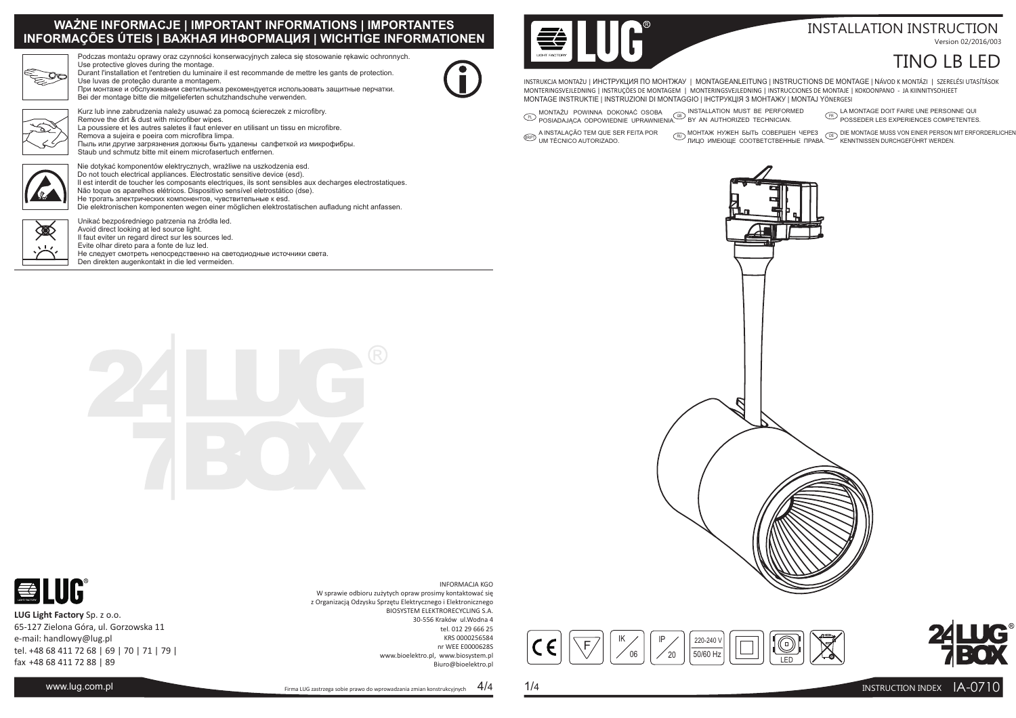### **WAŻNE INFORMACJE | IMPORTANT INFORMATIONS | IMPORTANTESINFORMAÇÕES ÚTEIS | ВАЖНАЯ ИНФОРМАЦИЯ | WICHTIGE INFORMATIONEN**



Podczas montażu oprawy oraz czynności konserwacyjnych zaleca się stosowanie rękawic ochronnych. Use protective gloves during the montage.Durant l'installation et l'entretien du luminaire il est recommande de mettre les gants de protection.

Use luvas de proteção durante a montagem. При монтаже и обслуживании светильника рекомендуется использовать защитные перчатки.Bei der montage bitte die mitgelieferten schutzhandschuhe verwenden.



Kurz lub inne zabrudzenia należy usuwać za pomocą ściereczek z microfibry. Remove the dirt & dust with microfiber wipes. La poussiere et les autres saletes il faut enlever en utilisant un tissu en microfibre.Remova a sujeira e poeira com microfibra limpa. Пыль или другие загрязнения должны быть удалены салфеткой из микрофибры.Staub und schmutz bitte mit einem microfasertuch entfernen.



Nie dotykać komponentów elektrycznych, wrażliwe na uszkodzenia esd. Do not touch electrical appliances. Electrostatic sensitive device (esd). Il est interdit de toucher les composants electriques, ils sont sensibles aux decharges electrostatiques.Não toque os aparelhos elétricos. Dispositivo sensível eletrostático (dse).Не трогать электрических компонентов, чувствительные к esd. Die elektronischen komponenten wegen einer möglichen elektrostatischen aufladung nicht anfassen.



Unikać bezpośredniego patrzenia na <sup>ź</sup>ródła led. Avoid direct looking at led source light. Il faut eviter un regard direct sur les sources led.Evite olhar direto para a fonte de luz led. Не следует смотреть непосредственно на светодиодные источники света.Den direkten augenkontakt in die led vermeiden.



**LUG Light Factory**Sp. z o.o. 65-127 Zielona Góra, ul. Gorzowska 11e-mail: handlowy@lug.pltel. +48 68 411 72 68 | 69 | 70 | 71 | 79 |fax +48 68 411 72 88 | 89



#### INSTALLATION INSTRUCTIONVersion 02/2016/003

## TINO LB LED

INSTRUKCIA MONTAŻU | ИНСТРУКЦИЯ ПО MOHTXKAY | MONTAGEANLEITUNG | INSTRUCTIONS DE MONTAGE | NÁVOD K MONTÁZI | SZERELÉSI UTASÍTÁSOK INSTRUKCJA MONTAŻU | ИНСТРУКЦИЯ ПО МОНТЖАУ | MONTAGEANLEITUNG | INSTRUCTIONS DE MONTAGE | NAVOD K MONTAZI | SZERELI<br>MONTERINGSVEJLEDNING | INSTRUÇÖES DE MONTAGEM | MONTERINGSVEJLEDNING | INSTRUCCIONES DE MONTAJE | KOKOONPA MONTAGE INSTRUKTIE | INSTRUZIONI DI MONTAGGIO | IНСТРУКЦІЯ З МОНТАЖУ | MONTAJ <sup>Y</sup>ÖNERGESI

 $\overline{\text{R}}$  montażu powinna dokonać osoba (@) installation must be performed<br>Posiadająca odpowiednie uprawnienia. By an authorized technician.

 $\widehat{\mathbb{F}\text{P}}$  LA MONTAGE DOIT FAIRE UNE PERSONNE QUI<br>POSSEDER LES EXPERIENCES COMPETENTES.

<sup>A</sup> INSTALAÇÃO TEM QUE SER FEITA PORERPT UM TÉCNICO AUTORIZADO.

MOHTAЖ HУЖЕН БЫТЬ COBEPШЕН ЧЕРЕЗ (هِيَ DIE MONTAGE MUSS VON EINER PERSON MIT ERFORDERLICHEN)<br>«المسترور العربية العربية للتعليم العربية التي تعليم العربية التي تعليم العربية التي تعليم العربية التي تعليم









INFORMACJA KGO

 BIOSYSTEM ELEKTRORECYCLING S.A. 30-556 Kraków ul.Wodna 4 tel. 012 29 666 25 KRS 0000256584nr WEE E0000628S

www.bioelektro.pl, www.biosystem.pl

 W sprawie odbioru zużytych opraw prosimy kontaktować sięz Organizacją Odzysku Sprzętu Elektrycznego i Elektronicznego

Firma LUG zastrzega sobie prawo do wprowadzania zmian konstrukcyjnych

Biuro@bioelektro.pl